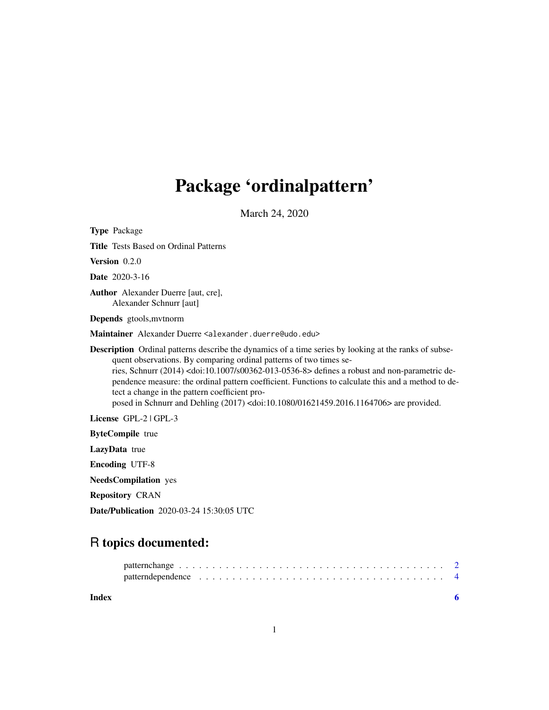## Package 'ordinalpattern'

March 24, 2020

Type Package

Title Tests Based on Ordinal Patterns

Version 0.2.0

Date 2020-3-16

Author Alexander Duerre [aut, cre], Alexander Schnurr [aut]

Depends gtools,mvtnorm

Maintainer Alexander Duerre <alexander.duerre@udo.edu>

Description Ordinal patterns describe the dynamics of a time series by looking at the ranks of subsequent observations. By comparing ordinal patterns of two times series, Schnurr (2014) <doi:10.1007/s00362-013-0536-8> defines a robust and non-parametric dependence measure: the ordinal pattern coefficient. Functions to calculate this and a method to detect a change in the pattern coefficient proposed in Schnurr and Dehling (2017) <doi:10.1080/01621459.2016.1164706> are provided.

License GPL-2 | GPL-3

ByteCompile true

LazyData true

Encoding UTF-8

NeedsCompilation yes

Repository CRAN

Date/Publication 2020-03-24 15:30:05 UTC

### R topics documented:

| Index |  |
|-------|--|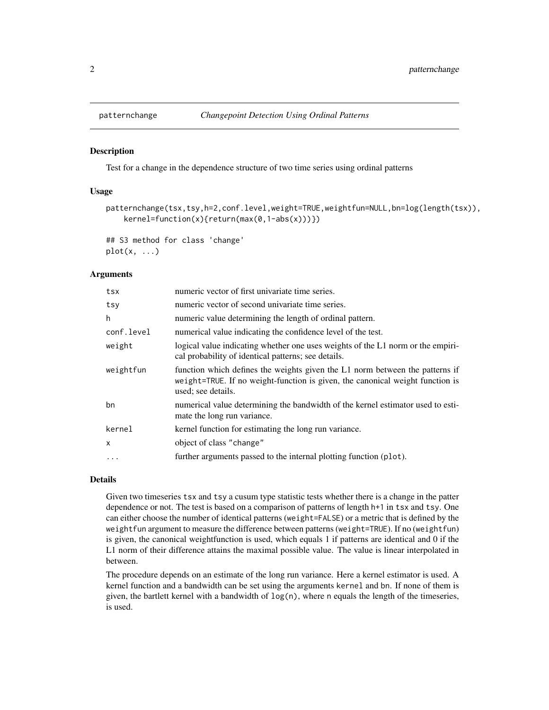<span id="page-1-0"></span>

#### **Description**

Test for a change in the dependence structure of two time series using ordinal patterns

#### Usage

```
patternchange(tsx,tsy,h=2,conf.level,weight=TRUE,weightfun=NULL,bn=log(length(tsx)),
   kernel=function(x){return(max(0,1-abs(x)))})
```
## S3 method for class 'change'  $plot(x, \ldots)$ 

#### **Arguments**

| numeric vector of first univariate time series.                                                                                                                                     |
|-------------------------------------------------------------------------------------------------------------------------------------------------------------------------------------|
| numeric vector of second univariate time series.                                                                                                                                    |
| numeric value determining the length of ordinal pattern.                                                                                                                            |
| numerical value indicating the confidence level of the test.                                                                                                                        |
| logical value indicating whether one uses weights of the L1 norm or the empiri-<br>cal probability of identical patterns; see details.                                              |
| function which defines the weights given the L1 norm between the patterns if<br>weight=TRUE. If no weight-function is given, the canonical weight function is<br>used; see details. |
| numerical value determining the bandwidth of the kernel estimator used to esti-<br>mate the long run variance.                                                                      |
| kernel function for estimating the long run variance.                                                                                                                               |
| object of class "change"                                                                                                                                                            |
| further arguments passed to the internal plotting function (plot).                                                                                                                  |
|                                                                                                                                                                                     |

#### Details

Given two timeseries tsx and tsy a cusum type statistic tests whether there is a change in the patter dependence or not. The test is based on a comparison of patterns of length h+1 in tsx and tsy. One can either choose the number of identical patterns (weight=FALSE) or a metric that is defined by the weightfun argument to measure the difference between patterns (weight=TRUE). If no (weightfun) is given, the canonical weightfunction is used, which equals 1 if patterns are identical and 0 if the L1 norm of their difference attains the maximal possible value. The value is linear interpolated in between.

The procedure depends on an estimate of the long run variance. Here a kernel estimator is used. A kernel function and a bandwidth can be set using the arguments kernel and bn. If none of them is given, the bartlett kernel with a bandwidth of  $log(n)$ , where n equals the length of the timeseries, is used.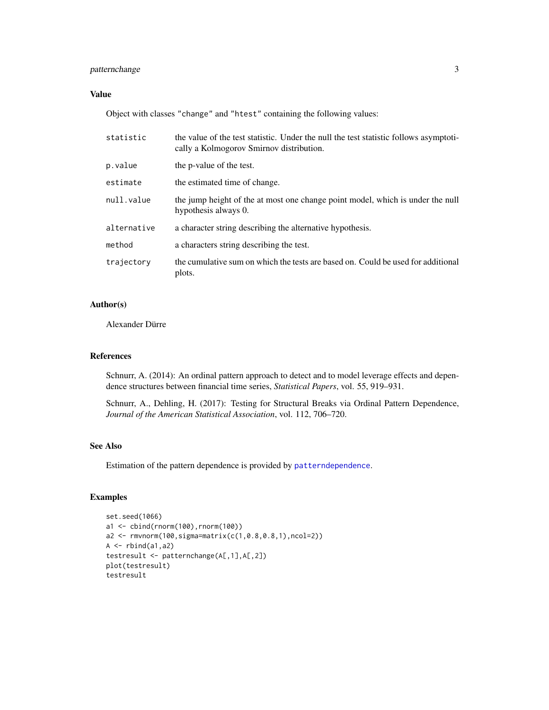#### <span id="page-2-0"></span>patternchange 3

#### Value

Object with classes "change" and "htest" containing the following values:

| statistic   | the value of the test statistic. Under the null the test statistic follows asymptoti-<br>cally a Kolmogorov Smirnov distribution. |
|-------------|-----------------------------------------------------------------------------------------------------------------------------------|
| p.value     | the p-value of the test.                                                                                                          |
| estimate    | the estimated time of change.                                                                                                     |
| null.value  | the jump height of the at most one change point model, which is under the null<br>hypothesis always 0.                            |
| alternative | a character string describing the alternative hypothesis.                                                                         |
| method      | a characters string describing the test.                                                                                          |
| trajectory  | the cumulative sum on which the tests are based on. Could be used for additional<br>plots.                                        |

#### Author(s)

Alexander Dürre

#### References

Schnurr, A. (2014): An ordinal pattern approach to detect and to model leverage effects and dependence structures between financial time series, *Statistical Papers*, vol. 55, 919–931.

Schnurr, A., Dehling, H. (2017): Testing for Structural Breaks via Ordinal Pattern Dependence, *Journal of the American Statistical Association*, vol. 112, 706–720.

#### See Also

Estimation of the pattern dependence is provided by [patterndependence](#page-3-1).

#### Examples

```
set.seed(1066)
a1 <- cbind(rnorm(100),rnorm(100))
a2 <- rmvnorm(100,sigma=matrix(c(1,0.8,0.8,1),ncol=2))
A \leftarrow \text{rbind}(a1, a2)testresult <- patternchange(A[,1],A[,2])
plot(testresult)
testresult
```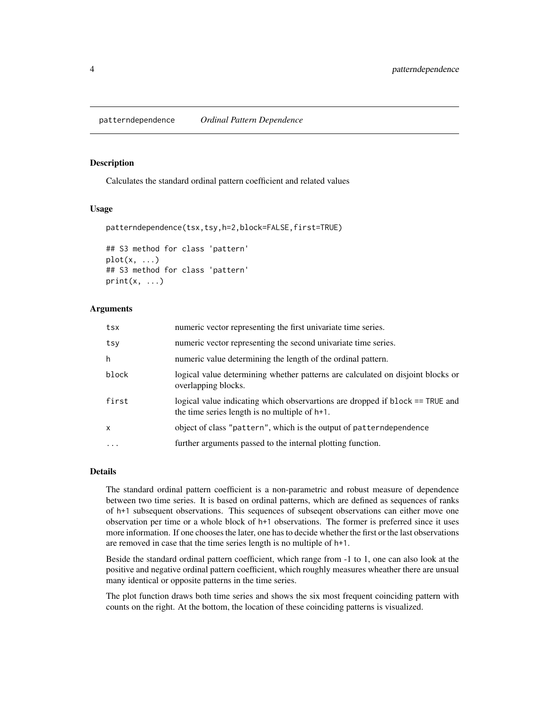#### <span id="page-3-1"></span><span id="page-3-0"></span>Description

Calculates the standard ordinal pattern coefficient and related values

#### Usage

```
patterndependence(tsx,tsy,h=2,block=FALSE,first=TRUE)
```

```
## S3 method for class 'pattern'
plot(x, \ldots)## S3 method for class 'pattern'
print(x, \ldots)
```
#### Arguments

| tsx          | numeric vector representing the first univariate time series.                                                                     |
|--------------|-----------------------------------------------------------------------------------------------------------------------------------|
| tsy          | numeric vector representing the second univariate time series.                                                                    |
| h            | numeric value determining the length of the ordinal pattern.                                                                      |
| block        | logical value determining whether patterns are calculated on disjoint blocks or<br>overlapping blocks.                            |
| first        | logical value indicating which observartions are dropped if block == TRUE and<br>the time series length is no multiple of $h+1$ . |
| $\mathsf{x}$ | object of class "pattern", which is the output of patterndependence                                                               |
| $\ddotsc$    | further arguments passed to the internal plotting function.                                                                       |
|              |                                                                                                                                   |

#### Details

The standard ordinal pattern coefficient is a non-parametric and robust measure of dependence between two time series. It is based on ordinal patterns, which are defined as sequences of ranks of h+1 subsequent observations. This sequences of subseqent observations can either move one observation per time or a whole block of h+1 observations. The former is preferred since it uses more information. If one chooses the later, one has to decide whether the first or the last observations are removed in case that the time series length is no multiple of h+1.

Beside the standard ordinal pattern coefficient, which range from -1 to 1, one can also look at the positive and negative ordinal pattern coefficient, which roughly measures wheather there are unsual many identical or opposite patterns in the time series.

The plot function draws both time series and shows the six most frequent coinciding pattern with counts on the right. At the bottom, the location of these coinciding patterns is visualized.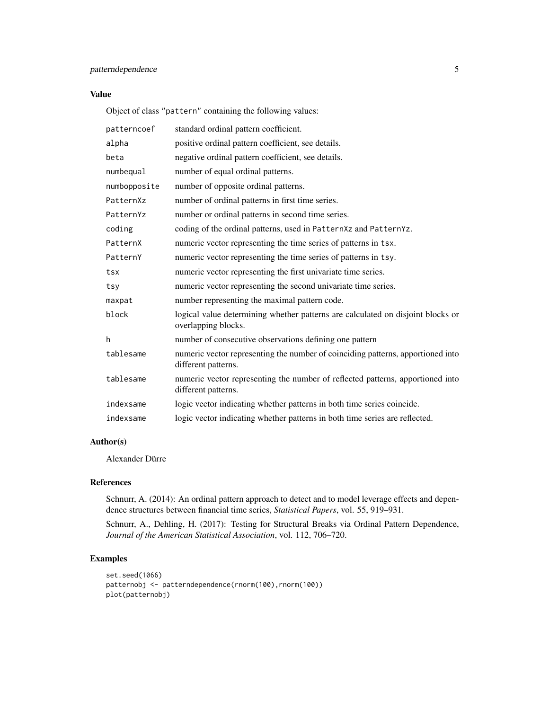#### patterndependence 5

#### Value

Object of class "pattern" containing the following values:

| patterncoef  | standard ordinal pattern coefficient.                                                                  |
|--------------|--------------------------------------------------------------------------------------------------------|
| alpha        | positive ordinal pattern coefficient, see details.                                                     |
| beta         | negative ordinal pattern coefficient, see details.                                                     |
| numbequal    | number of equal ordinal patterns.                                                                      |
| numbopposite | number of opposite ordinal patterns.                                                                   |
| PatternXz    | number of ordinal patterns in first time series.                                                       |
| PatternYz    | number or ordinal patterns in second time series.                                                      |
| coding       | coding of the ordinal patterns, used in PatternXz and PatternYz.                                       |
| PatternX     | numeric vector representing the time series of patterns in tsx.                                        |
| PatternY     | numeric vector representing the time series of patterns in tsy.                                        |
| tsx          | numeric vector representing the first univariate time series.                                          |
| tsy          | numeric vector representing the second univariate time series.                                         |
| maxpat       | number representing the maximal pattern code.                                                          |
| block        | logical value determining whether patterns are calculated on disjoint blocks or<br>overlapping blocks. |
| h            | number of consecutive observations defining one pattern                                                |
| tablesame    | numeric vector representing the number of coinciding patterns, apportioned into<br>different patterns. |
| tablesame    | numeric vector representing the number of reflected patterns, apportioned into<br>different patterns.  |
| indexsame    | logic vector indicating whether patterns in both time series coincide.                                 |
| indexsame    | logic vector indicating whether patterns in both time series are reflected.                            |

#### Author(s)

Alexander Dürre

#### References

Schnurr, A. (2014): An ordinal pattern approach to detect and to model leverage effects and dependence structures between financial time series, *Statistical Papers*, vol. 55, 919–931.

Schnurr, A., Dehling, H. (2017): Testing for Structural Breaks via Ordinal Pattern Dependence, *Journal of the American Statistical Association*, vol. 112, 706–720.

#### Examples

```
set.seed(1066)
patternobj <- patterndependence(rnorm(100),rnorm(100))
plot(patternobj)
```